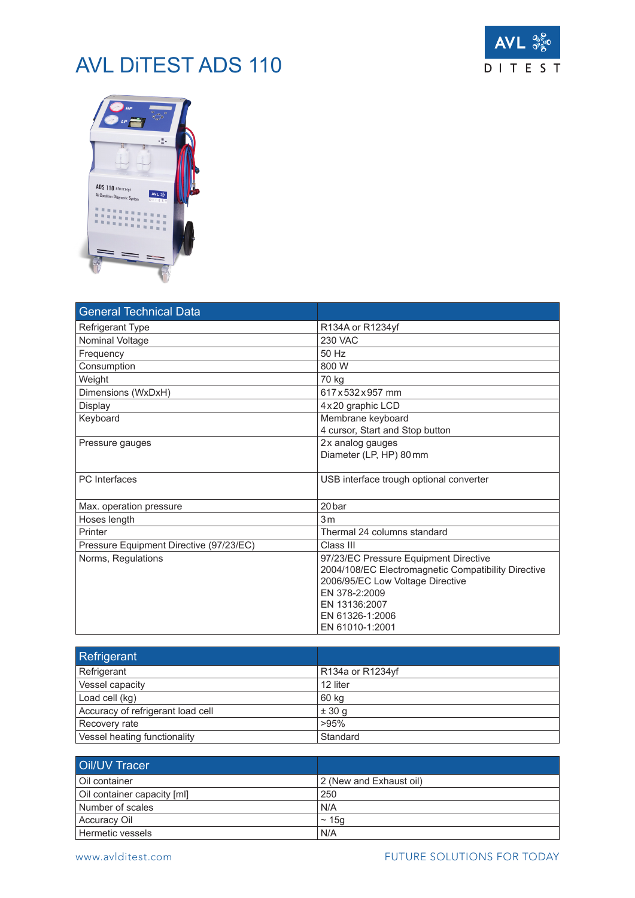## AVL DiTEST ADS 110





| <b>General Technical Data</b>           |                                                                                                                                                                                                          |
|-----------------------------------------|----------------------------------------------------------------------------------------------------------------------------------------------------------------------------------------------------------|
| <b>Refrigerant Type</b>                 | R134A or R1234yf                                                                                                                                                                                         |
| Nominal Voltage                         | <b>230 VAC</b>                                                                                                                                                                                           |
| Frequency                               | 50 Hz                                                                                                                                                                                                    |
| Consumption                             | 800 W                                                                                                                                                                                                    |
| Weight                                  | 70 kg                                                                                                                                                                                                    |
| Dimensions (WxDxH)                      | 617 x 532 x 957 mm                                                                                                                                                                                       |
| Display                                 | 4 x 20 graphic LCD                                                                                                                                                                                       |
| Keyboard                                | Membrane keyboard<br>4 cursor, Start and Stop button                                                                                                                                                     |
| Pressure gauges                         | 2x analog gauges<br>Diameter (LP, HP) 80mm                                                                                                                                                               |
| <b>PC</b> Interfaces                    | USB interface trough optional converter                                                                                                                                                                  |
| Max. operation pressure                 | 20 bar                                                                                                                                                                                                   |
| Hoses length                            | 3 <sub>m</sub>                                                                                                                                                                                           |
| Printer                                 | Thermal 24 columns standard                                                                                                                                                                              |
| Pressure Equipment Directive (97/23/EC) | Class III                                                                                                                                                                                                |
| Norms, Regulations                      | 97/23/EC Pressure Equipment Directive<br>2004/108/EC Electromagnetic Compatibility Directive<br>2006/95/EC Low Voltage Directive<br>EN 378-2:2009<br>EN 13136:2007<br>EN 61326-1:2006<br>EN 61010-1:2001 |

| Refrigerant                       |                  |
|-----------------------------------|------------------|
| Refrigerant                       | R134a or R1234yf |
| Vessel capacity                   | 12 liter         |
| Load cell (kg)                    | 60 kg            |
| Accuracy of refrigerant load cell | ± 30 g           |
| Recovery rate                     | >95%             |
| Vessel heating functionality      | Standard         |

| <b>Oil/UV Tracer</b>        |                         |
|-----------------------------|-------------------------|
| l Oil container             | 2 (New and Exhaust oil) |
| Oil container capacity [ml] | 250                     |
| Number of scales            | N/A                     |
| Accuracy Oil                | $\sim$ 15q              |
| Hermetic vessels            | N/A                     |